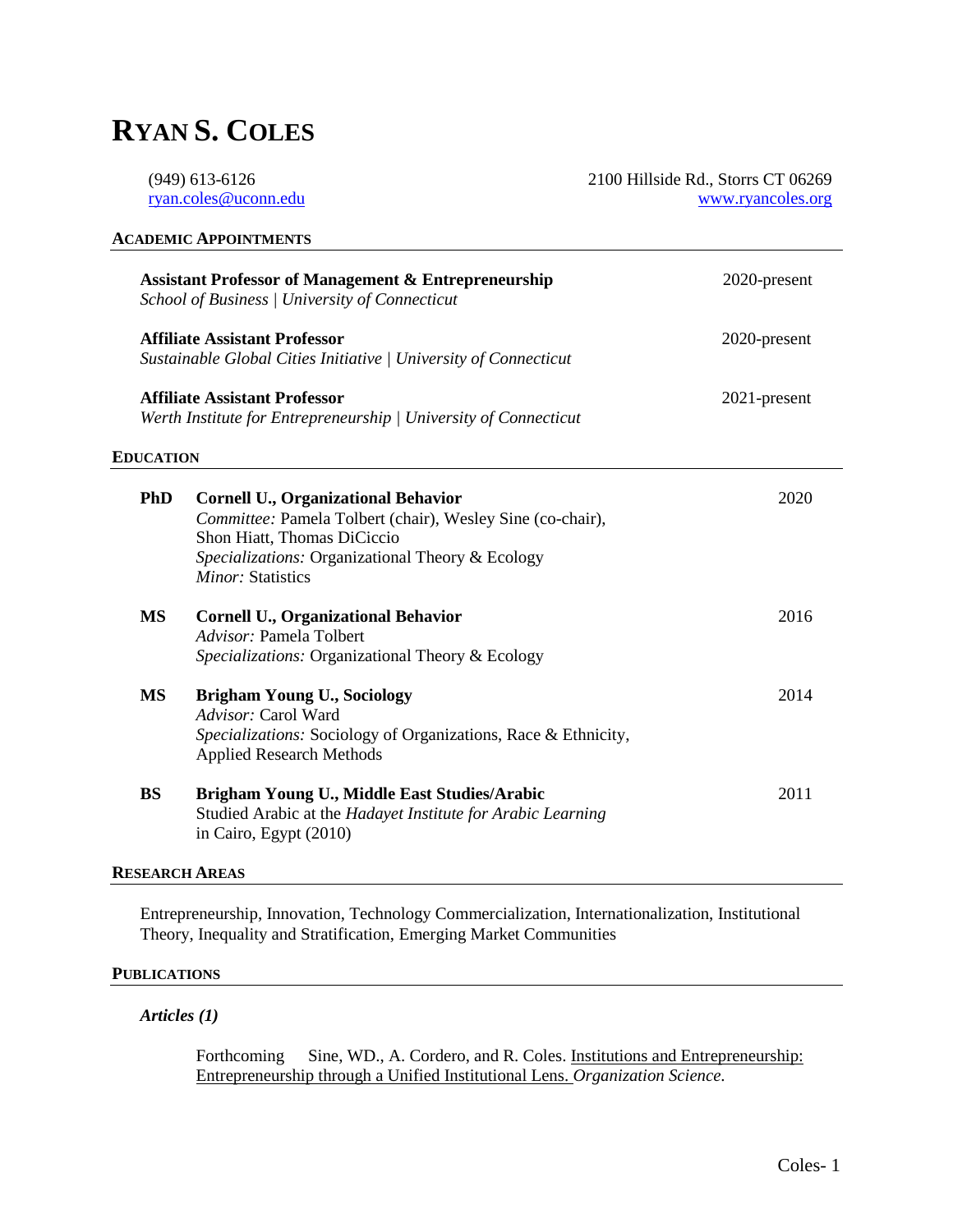# **RYAN S. COLES**

| $(949)$ 613-6126     | 2100 Hillside Rd., Storrs CT 06269 |
|----------------------|------------------------------------|
| ryan.coles@uconn.edu | www.ryancoles.org                  |

| <b>Assistant Professor of Management &amp; Entrepreneurship</b><br>School of Business / University of Connecticut<br><b>Affiliate Assistant Professor</b><br>Sustainable Global Cities Initiative   University of Connecticut<br><b>Affiliate Assistant Professor</b><br>Werth Institute for Entrepreneurship   University of Connecticut |                                                                                                                                                                                                                         | 2020-present |
|-------------------------------------------------------------------------------------------------------------------------------------------------------------------------------------------------------------------------------------------------------------------------------------------------------------------------------------------|-------------------------------------------------------------------------------------------------------------------------------------------------------------------------------------------------------------------------|--------------|
|                                                                                                                                                                                                                                                                                                                                           |                                                                                                                                                                                                                         | 2020-present |
|                                                                                                                                                                                                                                                                                                                                           |                                                                                                                                                                                                                         | 2021-present |
| <b>EDUCATION</b>                                                                                                                                                                                                                                                                                                                          |                                                                                                                                                                                                                         |              |
| <b>PhD</b>                                                                                                                                                                                                                                                                                                                                | <b>Cornell U., Organizational Behavior</b><br>Committee: Pamela Tolbert (chair), Wesley Sine (co-chair),<br>Shon Hiatt, Thomas DiCiccio<br>Specializations: Organizational Theory & Ecology<br><i>Minor:</i> Statistics | 2020         |
| <b>MS</b>                                                                                                                                                                                                                                                                                                                                 | <b>Cornell U., Organizational Behavior</b><br>Advisor: Pamela Tolbert<br>Specializations: Organizational Theory & Ecology                                                                                               | 2016         |
| <b>MS</b>                                                                                                                                                                                                                                                                                                                                 | <b>Brigham Young U., Sociology</b><br>Advisor: Carol Ward<br>Specializations: Sociology of Organizations, Race & Ethnicity,<br><b>Applied Research Methods</b>                                                          | 2014         |
| <b>BS</b>                                                                                                                                                                                                                                                                                                                                 | Brigham Young U., Middle East Studies/Arabic<br>Studied Arabic at the Hadayet Institute for Arabic Learning<br>in Cairo, Egypt (2010)                                                                                   | 2011         |

## **RESEARCH AREAS**

Entrepreneurship, Innovation, Technology Commercialization, Internationalization, Institutional Theory, Inequality and Stratification, Emerging Market Communities

#### **PUBLICATIONS**

#### *Articles (1)*

Forthcoming Sine, WD., A. Cordero, and R. Coles. Institutions and Entrepreneurship: Entrepreneurship through a Unified Institutional Lens. *Organization Science.*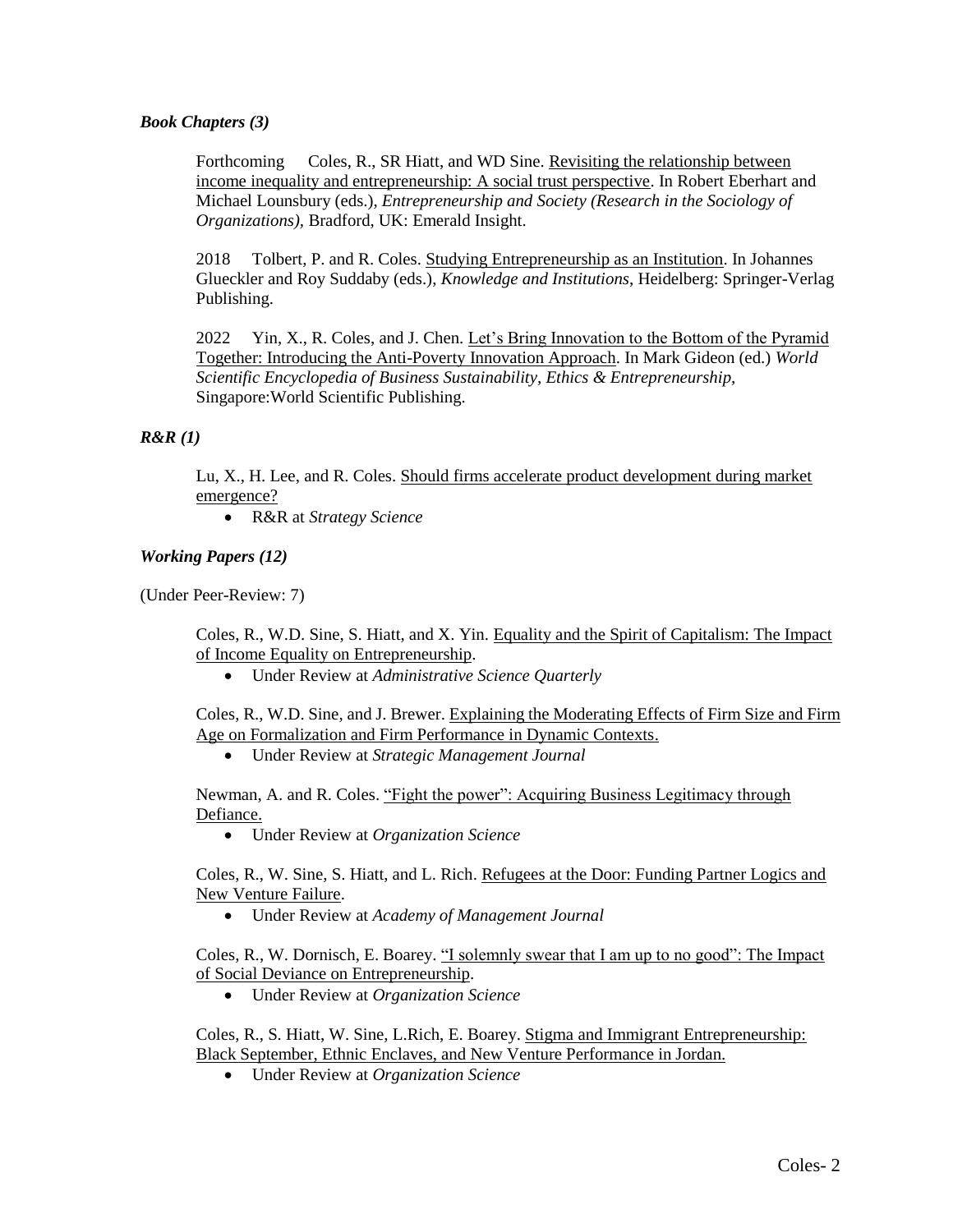#### *Book Chapters (3)*

Forthcoming Coles, R., SR Hiatt, and WD Sine. Revisiting the relationship between income inequality and entrepreneurship: A social trust perspective. In Robert Eberhart and Michael Lounsbury (eds.), *Entrepreneurship and Society (Research in the Sociology of Organizations),* Bradford, UK: Emerald Insight.

2018 Tolbert, P. and R. Coles. Studying Entrepreneurship as an Institution. In Johannes Glueckler and Roy Suddaby (eds.), *Knowledge and Institutions*, Heidelberg: Springer-Verlag Publishing.

2022 Yin, X., R. Coles, and J. Chen. Let's Bring Innovation to the Bottom of the Pyramid Together: Introducing the Anti-Poverty Innovation Approach. In Mark Gideon (ed.) *World Scientific Encyclopedia of Business Sustainability, Ethics & Entrepreneurship,*  Singapore:World Scientific Publishing.

#### *R&R (1)*

Lu, X., H. Lee, and R. Coles. Should firms accelerate product development during market emergence?

R&R at *Strategy Science*

#### *Working Papers (12)*

(Under Peer-Review: 7)

Coles, R., W.D. Sine, S. Hiatt, and X. Yin. Equality and the Spirit of Capitalism: The Impact of Income Equality on Entrepreneurship.

Under Review at *Administrative Science Quarterly*

Coles, R., W.D. Sine, and J. Brewer. Explaining the Moderating Effects of Firm Size and Firm Age on Formalization and Firm Performance in Dynamic Contexts.

Under Review at *Strategic Management Journal*

Newman, A. and R. Coles. "Fight the power": Acquiring Business Legitimacy through Defiance.

Under Review at *Organization Science*

Coles, R., W. Sine, S. Hiatt, and L. Rich. Refugees at the Door: Funding Partner Logics and New Venture Failure.

Under Review at *Academy of Management Journal*

Coles, R., W. Dornisch, E. Boarey. "I solemnly swear that I am up to no good": The Impact of Social Deviance on Entrepreneurship.

Under Review at *Organization Science*

Coles, R., S. Hiatt, W. Sine, L.Rich, E. Boarey. Stigma and Immigrant Entrepreneurship: Black September, Ethnic Enclaves, and New Venture Performance in Jordan.

Under Review at *Organization Science*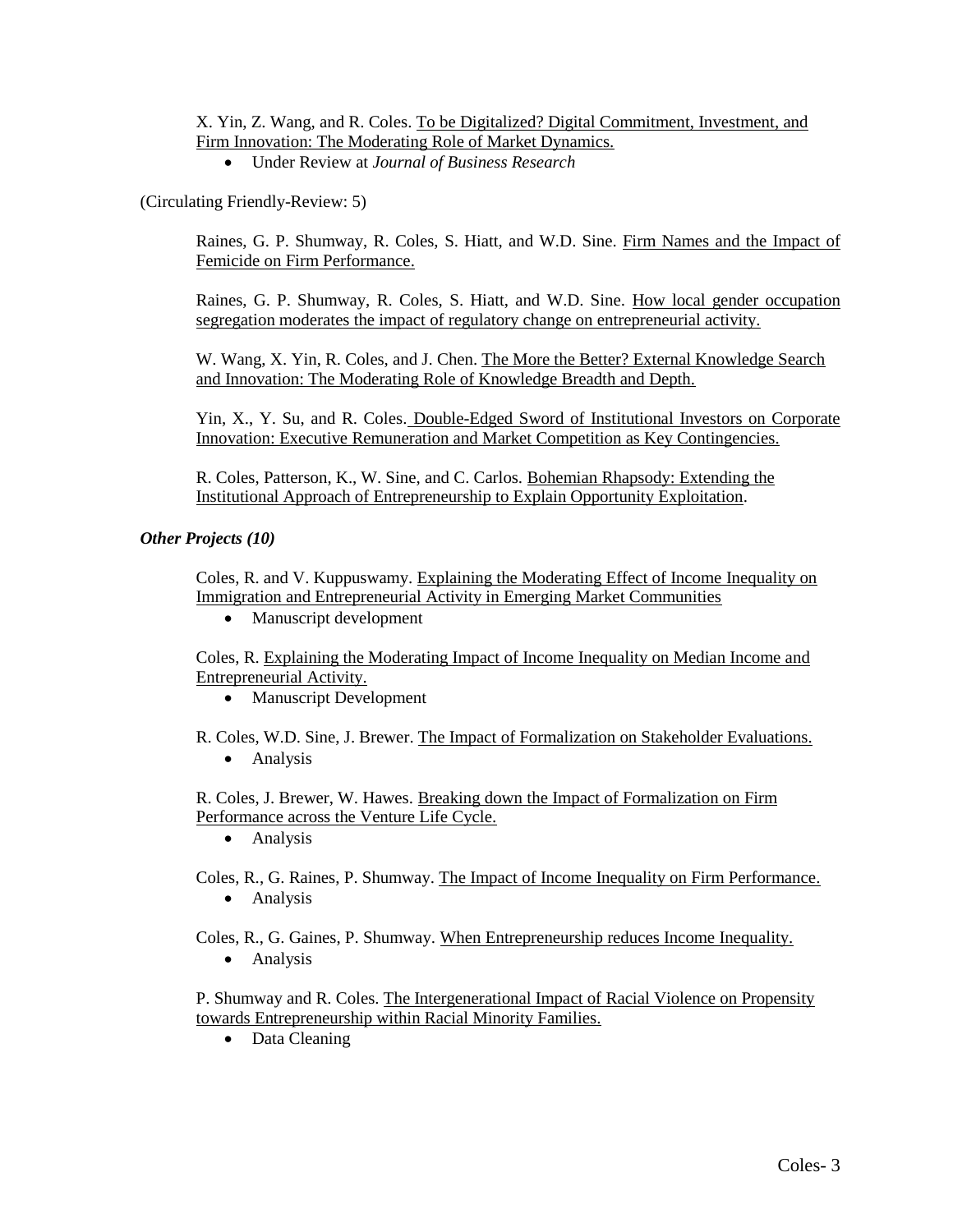X. Yin, Z. Wang, and R. Coles. To be Digitalized? Digital Commitment, Investment, and Firm Innovation: The Moderating Role of Market Dynamics.

Under Review at *Journal of Business Research*

(Circulating Friendly-Review: 5)

Raines, G. P. Shumway, R. Coles, S. Hiatt, and W.D. Sine. Firm Names and the Impact of Femicide on Firm Performance.

Raines, G. P. Shumway, R. Coles, S. Hiatt, and W.D. Sine. How local gender occupation segregation moderates the impact of regulatory change on entrepreneurial activity.

W. Wang, X. Yin, R. Coles, and J. Chen. The More the Better? External Knowledge Search and Innovation: The Moderating Role of Knowledge Breadth and Depth.

Yin, X., Y. Su, and R. Coles. Double-Edged Sword of Institutional Investors on Corporate Innovation: Executive Remuneration and Market Competition as Key Contingencies.

R. Coles, Patterson, K., W. Sine, and C. Carlos. Bohemian Rhapsody: Extending the Institutional Approach of Entrepreneurship to Explain Opportunity Exploitation.

#### *Other Projects (10)*

Coles, R. and V. Kuppuswamy. Explaining the Moderating Effect of Income Inequality on Immigration and Entrepreneurial Activity in Emerging Market Communities

• Manuscript development

Coles, R. Explaining the Moderating Impact of Income Inequality on Median Income and Entrepreneurial Activity.

- Manuscript Development
- R. Coles, W.D. Sine, J. Brewer. The Impact of Formalization on Stakeholder Evaluations. • Analysis

R. Coles, J. Brewer, W. Hawes. Breaking down the Impact of Formalization on Firm Performance across the Venture Life Cycle.

• Analysis

Coles, R., G. Raines, P. Shumway. The Impact of Income Inequality on Firm Performance.

• Analysis

Coles, R., G. Gaines, P. Shumway. When Entrepreneurship reduces Income Inequality.

• Analysis

P. Shumway and R. Coles. The Intergenerational Impact of Racial Violence on Propensity towards Entrepreneurship within Racial Minority Families.

• Data Cleaning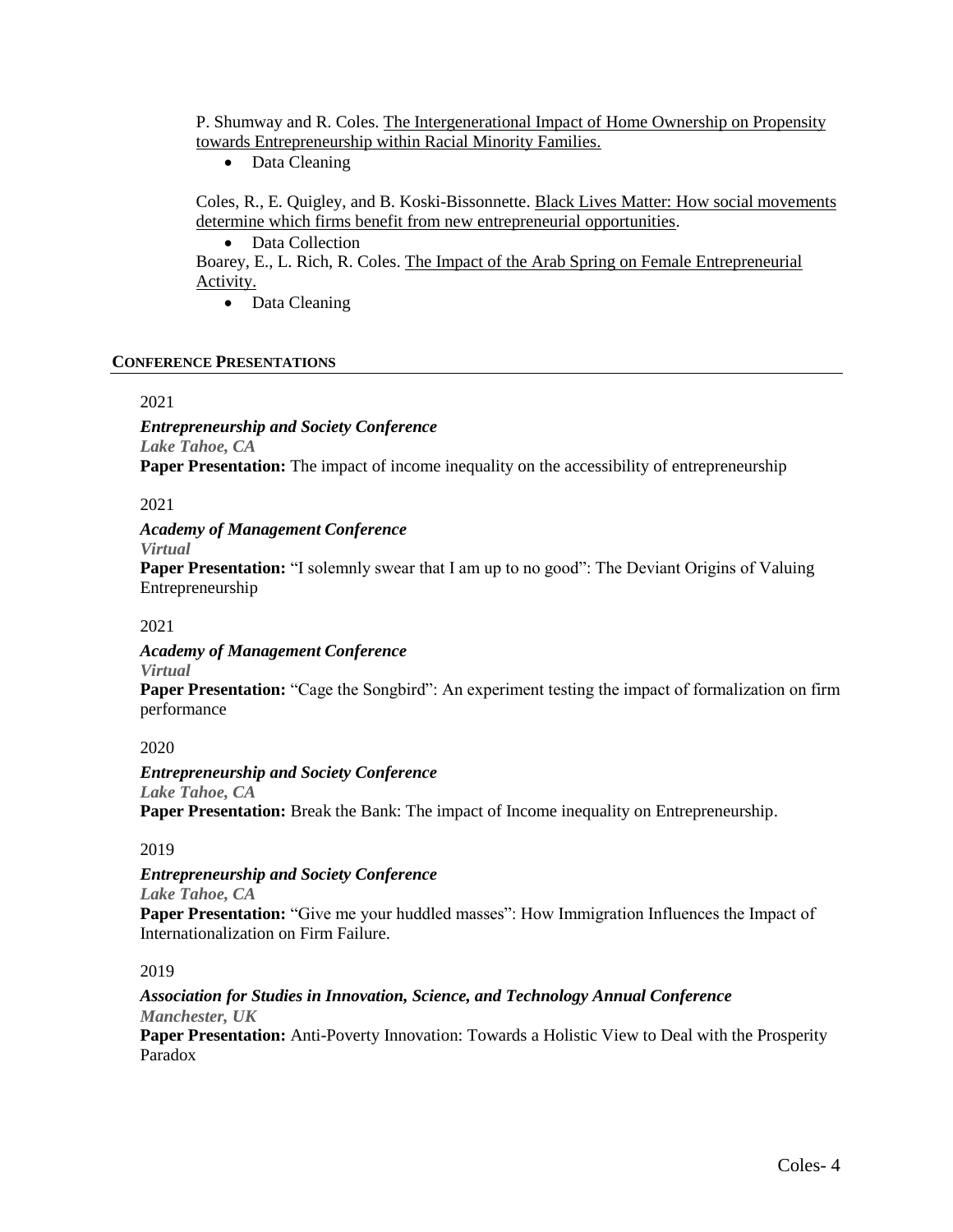P. Shumway and R. Coles. The Intergenerational Impact of Home Ownership on Propensity towards Entrepreneurship within Racial Minority Families.

• Data Cleaning

Coles, R., E. Quigley, and B. Koski-Bissonnette. Black Lives Matter: How social movements determine which firms benefit from new entrepreneurial opportunities.

• Data Collection

Boarey, E., L. Rich, R. Coles. The Impact of the Arab Spring on Female Entrepreneurial Activity.

• Data Cleaning

#### **CONFERENCE PRESENTATIONS**

#### 2021

*Entrepreneurship and Society Conference Lake Tahoe, CA* **Paper Presentation:** The impact of income inequality on the accessibility of entrepreneurship

#### 2021

*Academy of Management Conference*

*Virtual*

**Paper Presentation:** "I solemnly swear that I am up to no good": The Deviant Origins of Valuing Entrepreneurship

#### 2021

#### *Academy of Management Conference*

*Virtual*

**Paper Presentation:** "Cage the Songbird": An experiment testing the impact of formalization on firm performance

#### 2020

## *Entrepreneurship and Society Conference*

*Lake Tahoe, CA* **Paper Presentation:** Break the Bank: The impact of Income inequality on Entrepreneurship.

#### 2019

## *Entrepreneurship and Society Conference*

*Lake Tahoe, CA*

**Paper Presentation:** "Give me your huddled masses": How Immigration Influences the Impact of Internationalization on Firm Failure.

#### 2019

#### *Association for Studies in Innovation, Science, and Technology Annual Conference Manchester, UK*

Paper Presentation: Anti-Poverty Innovation: Towards a Holistic View to Deal with the Prosperity Paradox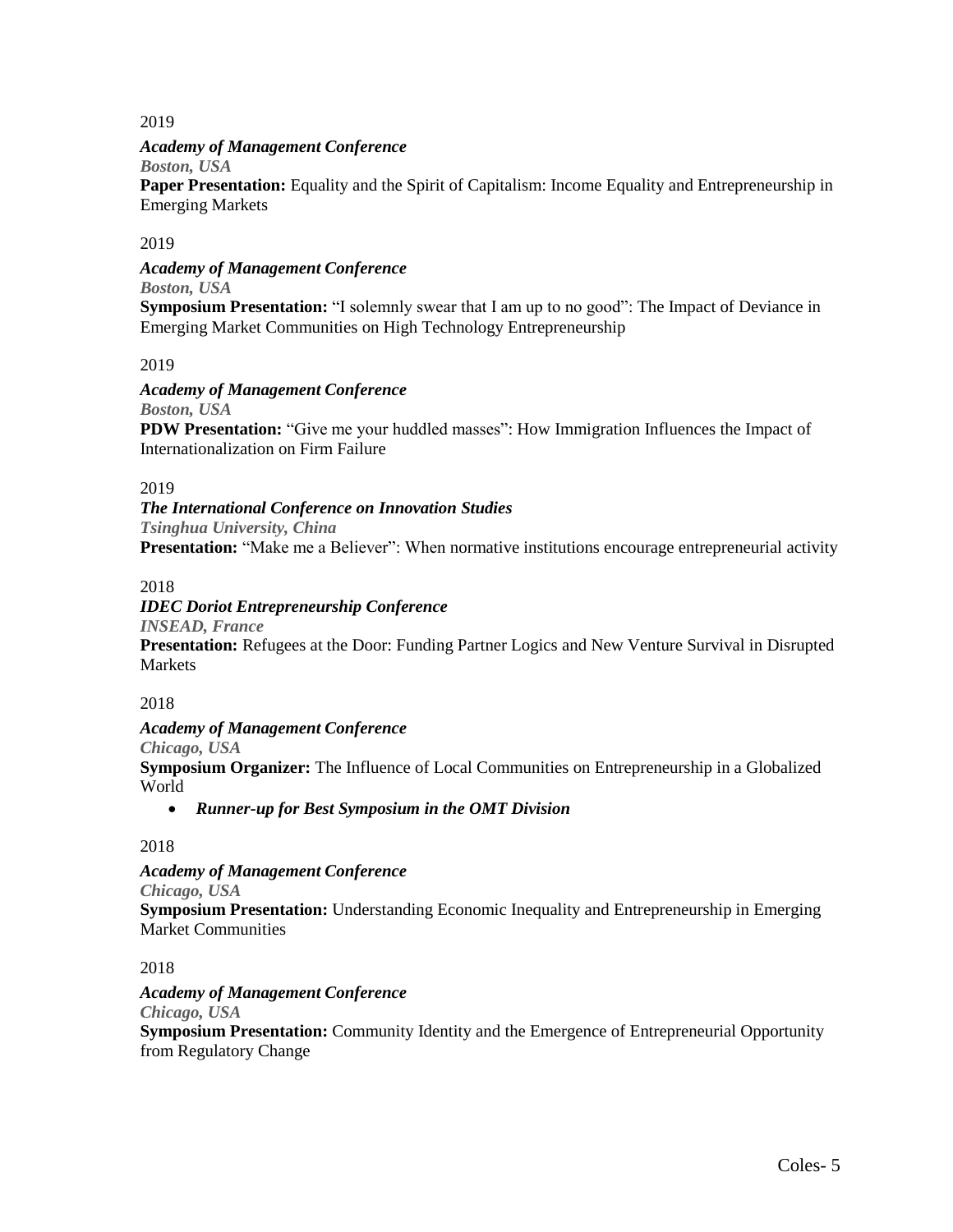#### 2019

## *Academy of Management Conference*

*Boston, USA*

**Paper Presentation:** Equality and the Spirit of Capitalism: Income Equality and Entrepreneurship in Emerging Markets

## 2019

*Academy of Management Conference*

*Boston, USA*

**Symposium Presentation:** "I solemnly swear that I am up to no good": The Impact of Deviance in Emerging Market Communities on High Technology Entrepreneurship

#### 2019

## *Academy of Management Conference*

*Boston, USA*

**PDW Presentation:** "Give me your huddled masses": How Immigration Influences the Impact of Internationalization on Firm Failure

#### 2019

#### *The International Conference on Innovation Studies Tsinghua University, China*

**Presentation:** "Make me a Believer": When normative institutions encourage entrepreneurial activity

2018

## *IDEC Doriot Entrepreneurship Conference*

*INSEAD, France*

**Presentation:** Refugees at the Door: Funding Partner Logics and New Venture Survival in Disrupted Markets

#### 2018

*Academy of Management Conference*

*Chicago, USA*

**Symposium Organizer:** The Influence of Local Communities on Entrepreneurship in a Globalized World

*Runner-up for Best Symposium in the OMT Division*

#### 2018

*Academy of Management Conference*

*Chicago, USA*

**Symposium Presentation:** Understanding Economic Inequality and Entrepreneurship in Emerging Market Communities

2018

*Academy of Management Conference* 

*Chicago, USA*

**Symposium Presentation:** Community Identity and the Emergence of Entrepreneurial Opportunity from Regulatory Change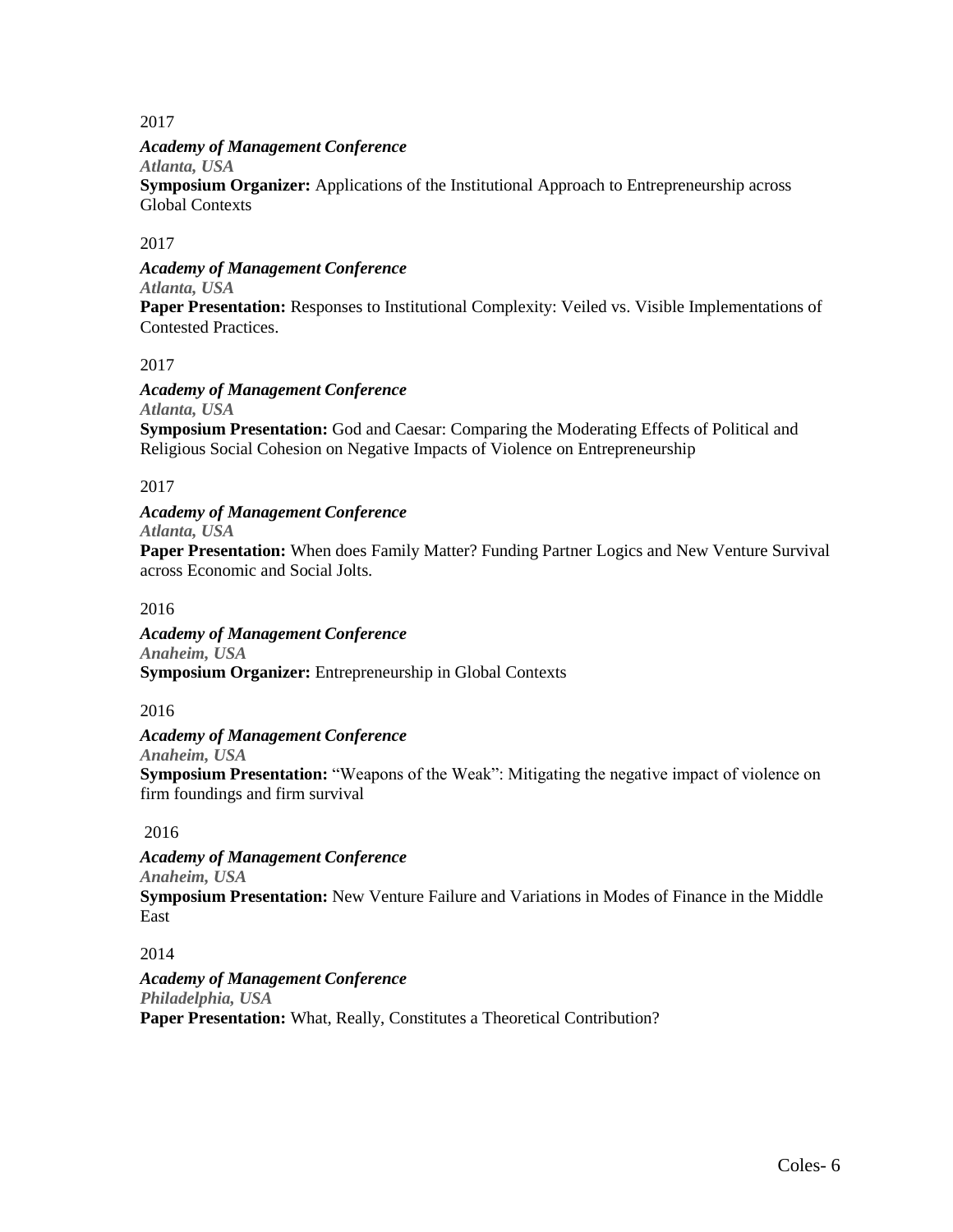## 2017

## *Academy of Management Conference*

*Atlanta, USA*

**Symposium Organizer:** Applications of the Institutional Approach to Entrepreneurship across Global Contexts

## 2017

*Academy of Management Conference Atlanta, USA*

**Paper Presentation:** Responses to Institutional Complexity: Veiled vs. Visible Implementations of Contested Practices.

#### 2017

#### *Academy of Management Conference Atlanta, USA*

**Symposium Presentation:** God and Caesar: Comparing the Moderating Effects of Political and Religious Social Cohesion on Negative Impacts of Violence on Entrepreneurship

## 2017

# *Academy of Management Conference*

*Atlanta, USA*

**Paper Presentation:** When does Family Matter? Funding Partner Logics and New Venture Survival across Economic and Social Jolts.

## 2016

*Academy of Management Conference Anaheim, USA* **Symposium Organizer:** Entrepreneurship in Global Contexts

2016

#### *Academy of Management Conference*

*Anaheim, USA*

**Symposium Presentation:** "Weapons of the Weak": Mitigating the negative impact of violence on firm foundings and firm survival

## 2016

*Academy of Management Conference Anaheim, USA* **Symposium Presentation:** New Venture Failure and Variations in Modes of Finance in the Middle East

#### 2014

*Academy of Management Conference Philadelphia, USA* **Paper Presentation:** What, Really, Constitutes a Theoretical Contribution?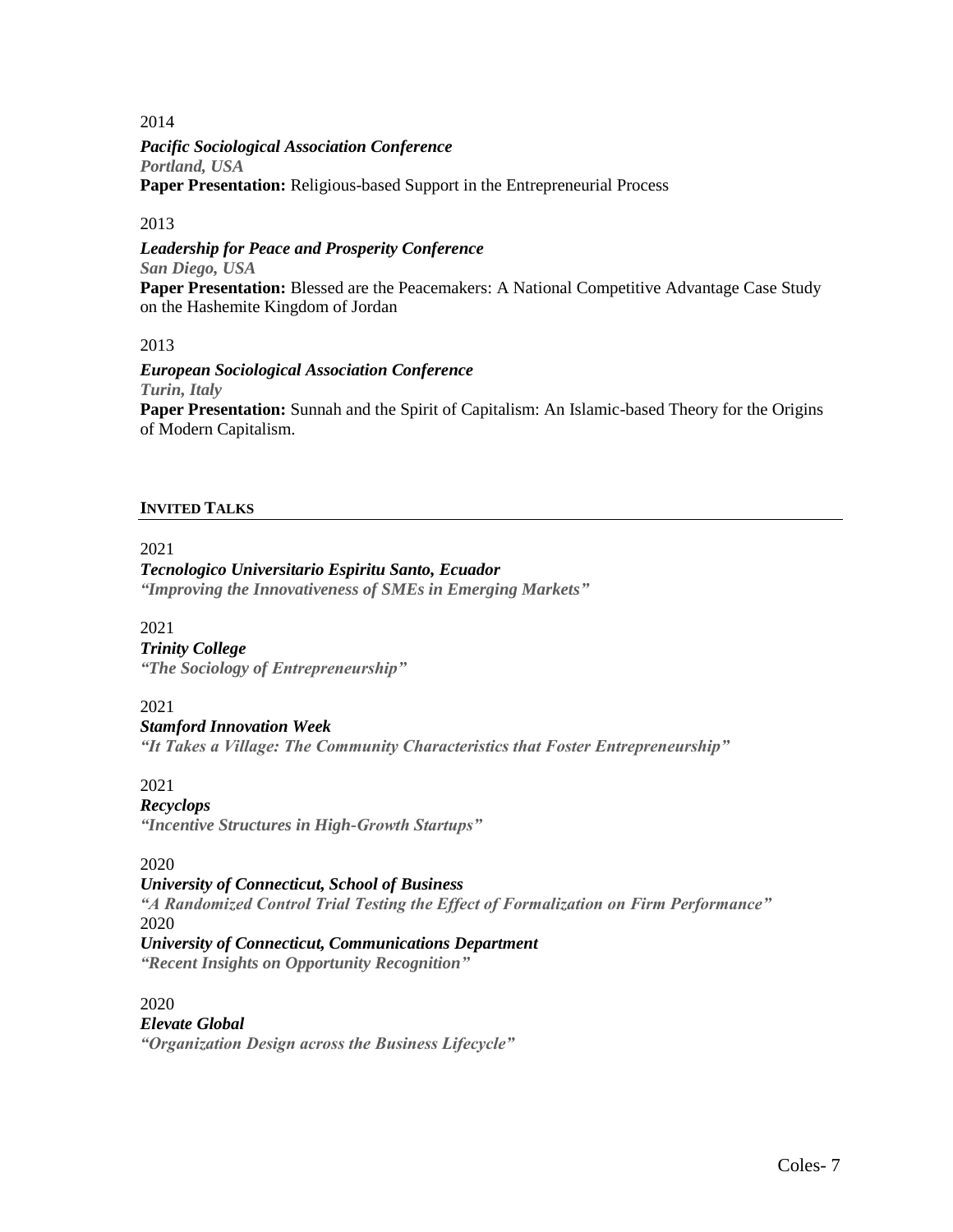2014

*Pacific Sociological Association Conference Portland, USA* **Paper Presentation:** Religious-based Support in the Entrepreneurial Process

## 2013

*Leadership for Peace and Prosperity Conference San Diego, USA* **Paper Presentation:** Blessed are the Peacemakers: A National Competitive Advantage Case Study on the Hashemite Kingdom of Jordan

2013

*European Sociological Association Conference Turin, Italy* **Paper Presentation:** Sunnah and the Spirit of Capitalism: An Islamic-based Theory for the Origins of Modern Capitalism.

## **INVITED TALKS**

2021

## *Tecnologico Universitario Espiritu Santo, Ecuador*

*"Improving the Innovativeness of SMEs in Emerging Markets"*

2021

#### *Trinity College*

*"The Sociology of Entrepreneurship"*

2021

## *Stamford Innovation Week*

*"It Takes a Village: The Community Characteristics that Foster Entrepreneurship"*

2021

#### *Recyclops*

*"Incentive Structures in High-Growth Startups"*

## 2020

## *University of Connecticut, School of Business*

*"A Randomized Control Trial Testing the Effect of Formalization on Firm Performance"* 2020

*University of Connecticut, Communications Department "Recent Insights on Opportunity Recognition"*

2020

# *Elevate Global "Organization Design across the Business Lifecycle"*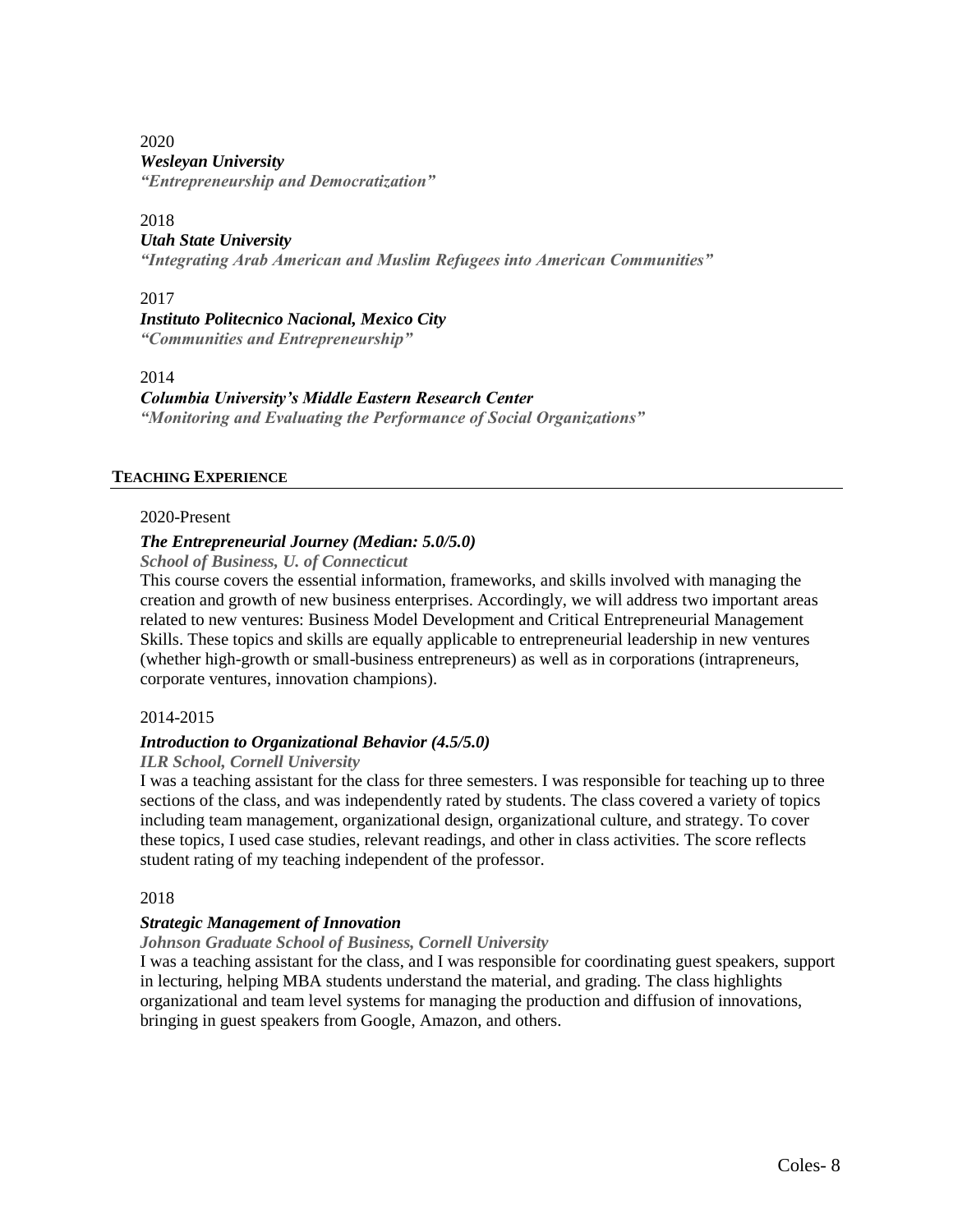#### 2020 *Wesleyan University "Entrepreneurship and Democratization"*

#### 2018

## *Utah State University*

*"Integrating Arab American and Muslim Refugees into American Communities"*

## 2017

*Instituto Politecnico Nacional, Mexico City "Communities and Entrepreneurship"*

## 2014

## *Columbia University's Middle Eastern Research Center*

*"Monitoring and Evaluating the Performance of Social Organizations"*

## **TEACHING EXPERIENCE**

## 2020-Present

## *The Entrepreneurial Journey (Median: 5.0/5.0)*

*School of Business, U. of Connecticut*

This course covers the essential information, frameworks, and skills involved with managing the creation and growth of new business enterprises. Accordingly, we will address two important areas related to new ventures: Business Model Development and Critical Entrepreneurial Management Skills. These topics and skills are equally applicable to entrepreneurial leadership in new ventures (whether high-growth or small-business entrepreneurs) as well as in corporations (intrapreneurs, corporate ventures, innovation champions).

## 2014-2015

## *Introduction to Organizational Behavior (4.5/5.0)*

#### *ILR School, Cornell University*

I was a teaching assistant for the class for three semesters. I was responsible for teaching up to three sections of the class, and was independently rated by students. The class covered a variety of topics including team management, organizational design, organizational culture, and strategy. To cover these topics, I used case studies, relevant readings, and other in class activities. The score reflects student rating of my teaching independent of the professor.

2018

## *Strategic Management of Innovation*

#### *Johnson Graduate School of Business, Cornell University*

I was a teaching assistant for the class, and I was responsible for coordinating guest speakers, support in lecturing, helping MBA students understand the material, and grading. The class highlights organizational and team level systems for managing the production and diffusion of innovations, bringing in guest speakers from Google, Amazon, and others.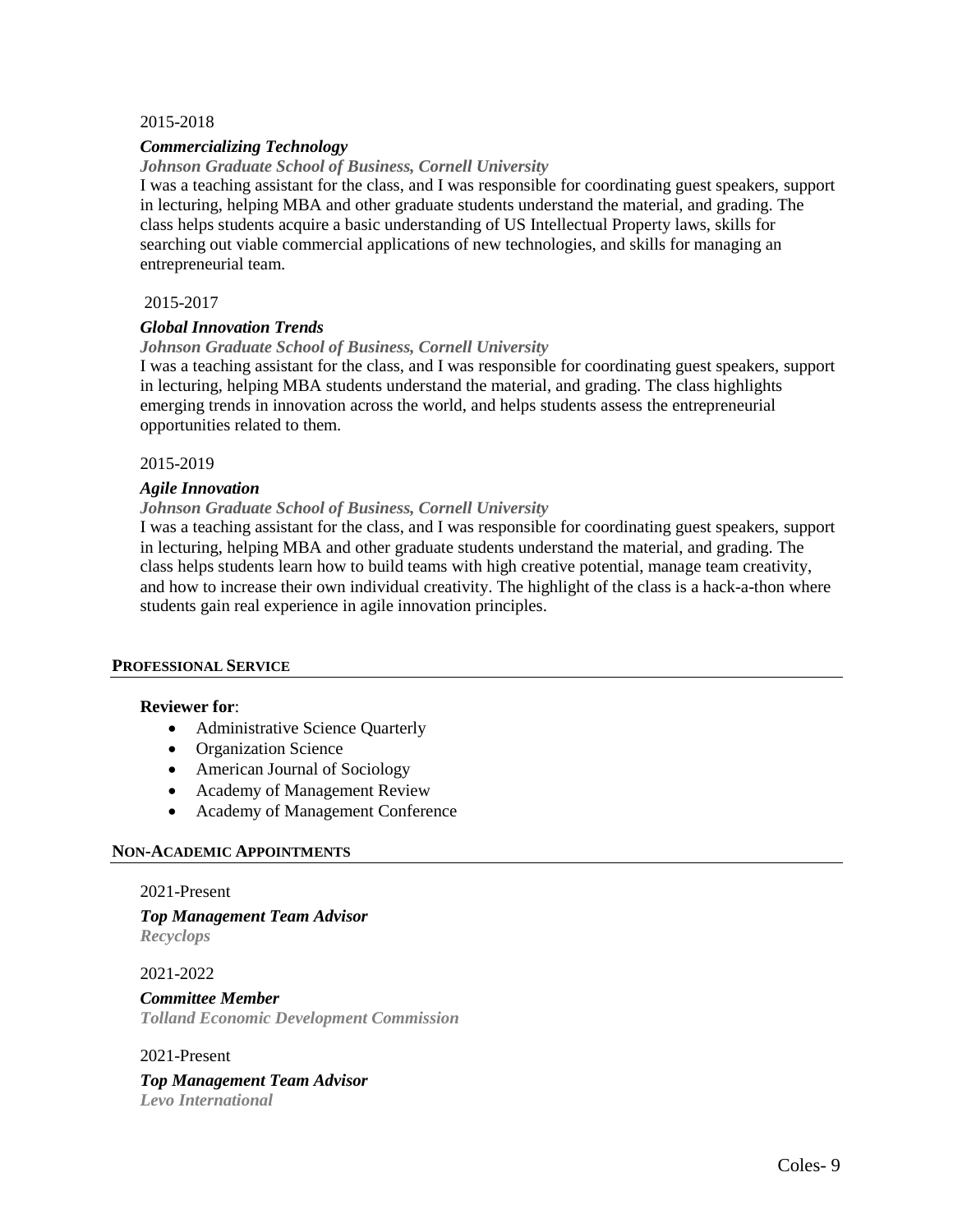#### 2015-2018

#### *Commercializing Technology*

#### *Johnson Graduate School of Business, Cornell University*

I was a teaching assistant for the class, and I was responsible for coordinating guest speakers, support in lecturing, helping MBA and other graduate students understand the material, and grading. The class helps students acquire a basic understanding of US Intellectual Property laws, skills for searching out viable commercial applications of new technologies, and skills for managing an entrepreneurial team.

#### 2015-2017

#### *Global Innovation Trends*

#### *Johnson Graduate School of Business, Cornell University*

I was a teaching assistant for the class, and I was responsible for coordinating guest speakers, support in lecturing, helping MBA students understand the material, and grading. The class highlights emerging trends in innovation across the world, and helps students assess the entrepreneurial opportunities related to them.

#### 2015-2019

#### *Agile Innovation*

#### *Johnson Graduate School of Business, Cornell University*

I was a teaching assistant for the class, and I was responsible for coordinating guest speakers, support in lecturing, helping MBA and other graduate students understand the material, and grading. The class helps students learn how to build teams with high creative potential, manage team creativity, and how to increase their own individual creativity. The highlight of the class is a hack-a-thon where students gain real experience in agile innovation principles.

#### **PROFESSIONAL SERVICE**

#### **Reviewer for**:

- Administrative Science Quarterly
- Organization Science
- American Journal of Sociology
- Academy of Management Review
- Academy of Management Conference

#### **NON-ACADEMIC APPOINTMENTS**

#### 2021-Present

*Top Management Team Advisor Recyclops*

2021-2022

#### *Committee Member Tolland Economic Development Commission*

#### 2021-Present

#### *Top Management Team Advisor Levo International*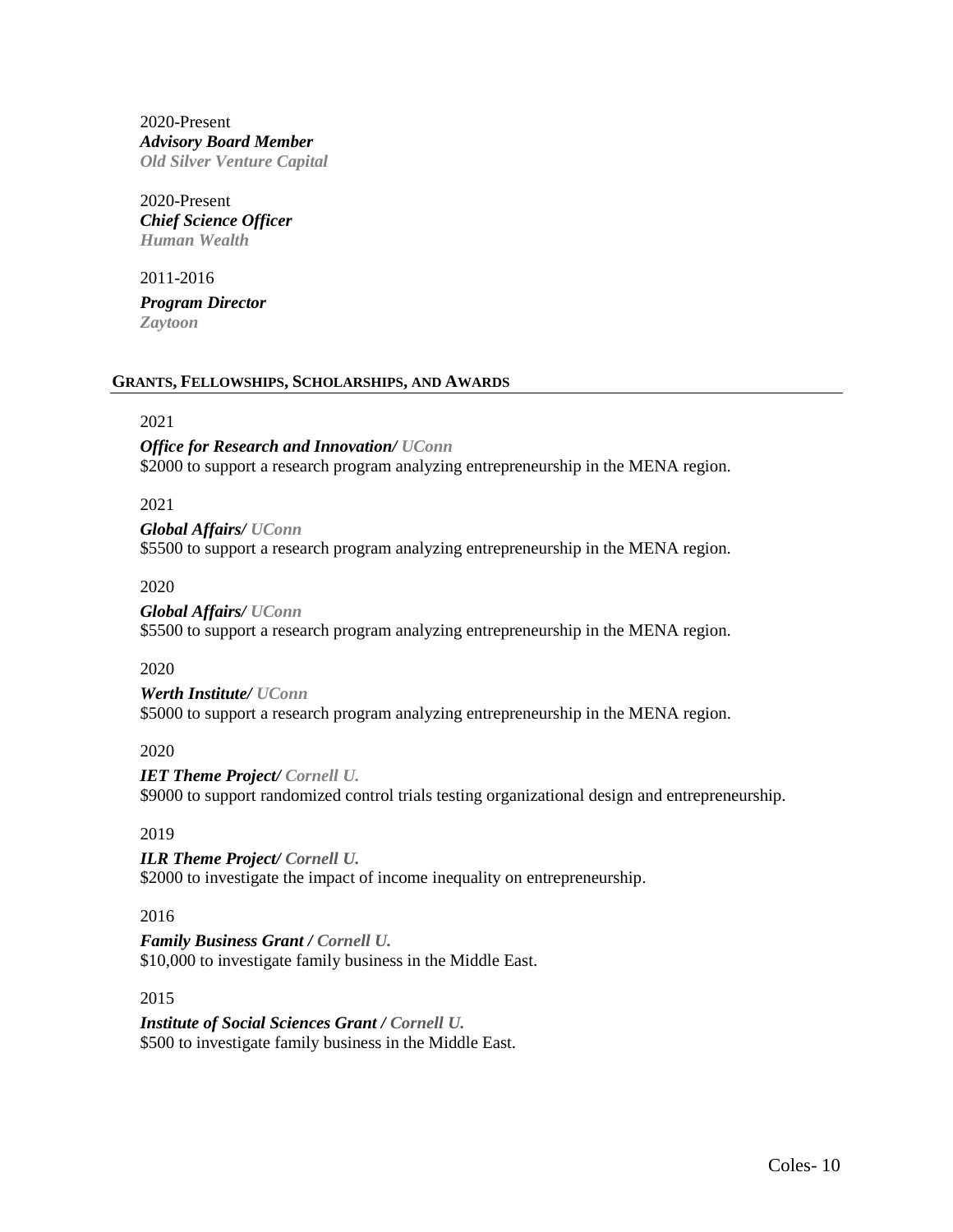2020-Present *Advisory Board Member Old Silver Venture Capital*

2020-Present *Chief Science Officer Human Wealth*

2011-2016

*Program Director Zaytoon* 

#### **GRANTS, FELLOWSHIPS, SCHOLARSHIPS, AND AWARDS**

## 2021

*Office for Research and Innovation/ UConn* \$2000 to support a research program analyzing entrepreneurship in the MENA region.

2021

*Global Affairs/ UConn* \$5500 to support a research program analyzing entrepreneurship in the MENA region.

2020

*Global Affairs/ UConn* \$5500 to support a research program analyzing entrepreneurship in the MENA region.

2020

*Werth Institute/ UConn* \$5000 to support a research program analyzing entrepreneurship in the MENA region.

2020

*IET Theme Project/ Cornell U.* \$9000 to support randomized control trials testing organizational design and entrepreneurship.

2019

*ILR Theme Project/ Cornell U.* \$2000 to investigate the impact of income inequality on entrepreneurship.

2016

*Family Business Grant / Cornell U.* \$10,000 to investigate family business in the Middle East.

2015

*Institute of Social Sciences Grant / Cornell U.* \$500 to investigate family business in the Middle East.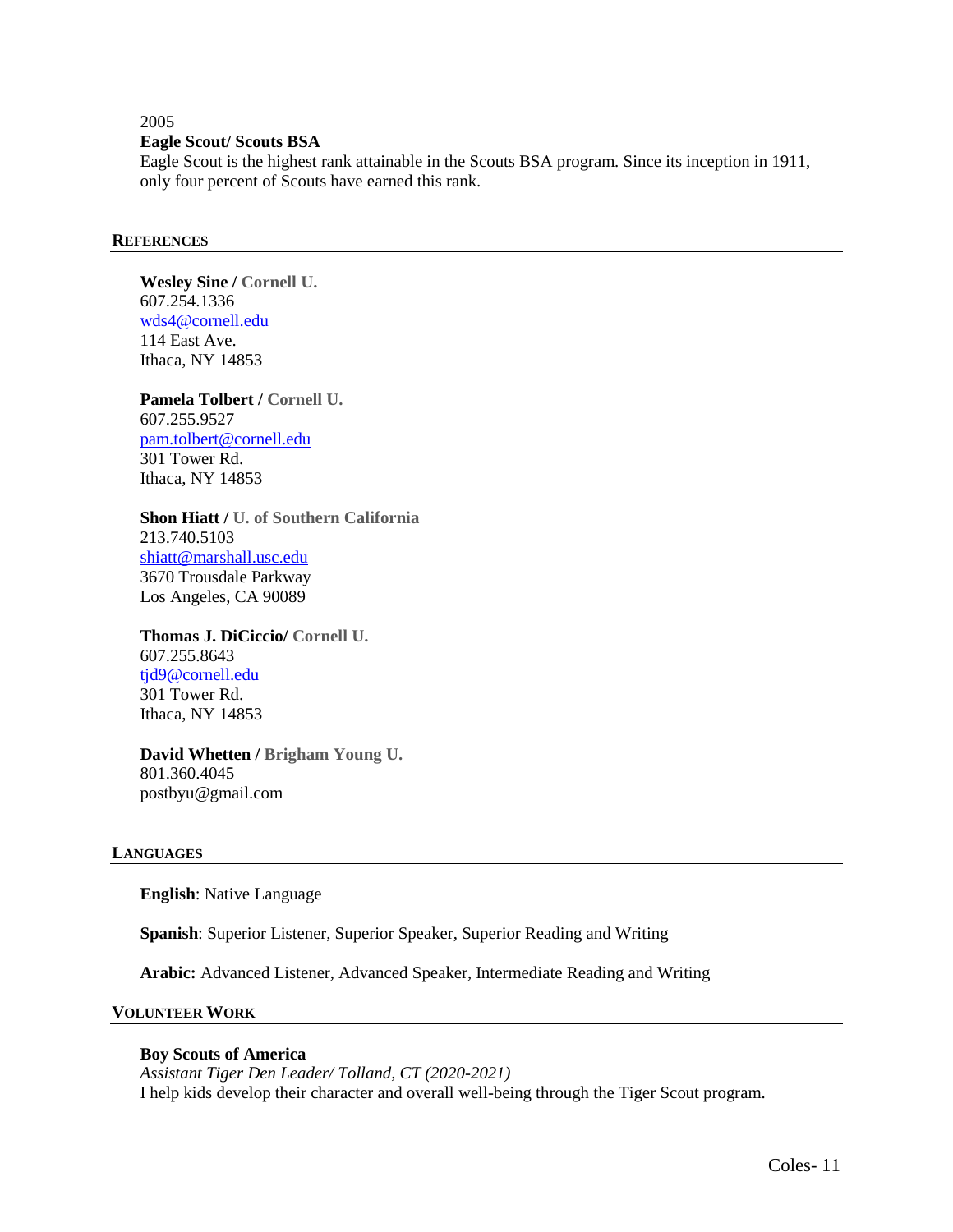#### 2005 **Eagle Scout/ Scouts BSA**

Eagle Scout is the highest rank attainable in the Scouts BSA program. Since its inception in 1911, only four percent of Scouts have earned this rank.

#### **REFERENCES**

**Wesley Sine / Cornell U.** 607.254.1336 [wds4@cornell.edu](mailto:wds4@cornell.edu) 114 East Ave. Ithaca, NY 14853

**Pamela Tolbert / Cornell U.** 607.255.9527 [pam.tolbert@cornell.edu](mailto:pam.tolbert@cornell.edu) 301 Tower Rd. Ithaca, NY 14853

**Shon Hiatt / U. of Southern California** 213.740.5103 [shiatt@marshall.usc.edu](mailto:shiatt@marshall.usc.edu) 3670 Trousdale Parkway Los Angeles, CA 90089

**Thomas J. DiCiccio/ Cornell U.**  607.255.8643 [tjd9@cornell.edu](mailto:tjd9@cornell.edu) 301 Tower Rd. Ithaca, NY 14853

**David Whetten / Brigham Young U.**  801.360.4045 postbyu@gmail.com

#### **LANGUAGES**

**English**: Native Language

**Spanish**: Superior Listener, Superior Speaker, Superior Reading and Writing

**Arabic:** Advanced Listener, Advanced Speaker, Intermediate Reading and Writing

#### **VOLUNTEER WORK**

#### **Boy Scouts of America**

*Assistant Tiger Den Leader/ Tolland, CT (2020-2021)* I help kids develop their character and overall well-being through the Tiger Scout program.